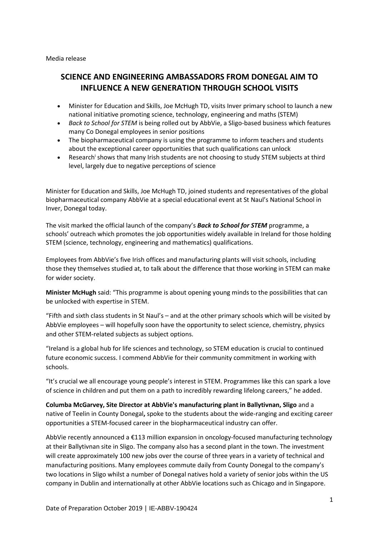Media release

## **SCIENCE AND ENGINEERING AMBASSADORS FROM DONEGAL AIM TO INFLUENCE A NEW GENERATION THROUGH SCHOOL VISITS**

- Minister for Education and Skills, Joe McHugh TD, visits Inver primary school to launch a new national initiative promoting science, technology, engineering and maths (STEM)
- *Back to School for STEM* is being rolled out by AbbVie, a Sligo-based business which features many Co Donegal employees in senior positions
- The biopharmaceutical company is using the programme to inform teachers and students about the exceptional career opportunities that such qualifications can unlock
- Research<sup>i</sup> shows that many Irish students are not choosing to study STEM subjects at third level, largely due to negative perceptions of science

Minister for Education and Skills, Joe McHugh TD, joined students and representatives of the global biopharmaceutical company AbbVie at a special educational event at St Naul's National School in Inver, Donegal today.

The visit marked the official launch of the company's *Back to School for STEM* programme, a schools' outreach which promotes the job opportunities widely available in Ireland for those holding STEM (science, technology, engineering and mathematics) qualifications.

Employees from AbbVie's five Irish offices and manufacturing plants will visit schools, including those they themselves studied at, to talk about the difference that those working in STEM can make for wider society.

**Minister McHugh** said: "This programme is about opening young minds to the possibilities that can be unlocked with expertise in STEM.

"Fifth and sixth class students in St Naul's – and at the other primary schools which will be visited by AbbVie employees – will hopefully soon have the opportunity to select science, chemistry, physics and other STEM-related subjects as subject options.

"Ireland is a global hub for life sciences and technology, so STEM education is crucial to continued future economic success. I commend AbbVie for their community commitment in working with schools.

"It's crucial we all encourage young people's interest in STEM. Programmes like this can spark a love of science in children and put them on a path to incredibly rewarding lifelong careers," he added.

**Columba McGarvey, Site Director at AbbVie's manufacturing plant in Ballytivnan, Sligo** and a native of Teelin in County Donegal**,** spoke to the students about the wide-ranging and exciting career opportunities a STEM-focused career in the biopharmaceutical industry can offer.

AbbVie recently announced a €113 million expansion in oncology-focused manufacturing technology at their Ballytivnan site in Sligo. The company also has a second plant in the town. The investment will create approximately 100 new jobs over the course of three years in a variety of technical and manufacturing positions. Many employees commute daily from County Donegal to the company's two locations in Sligo whilst a number of Donegal natives hold a variety of senior jobs within the US company in Dublin and internationally at other AbbVie locations such as Chicago and in Singapore.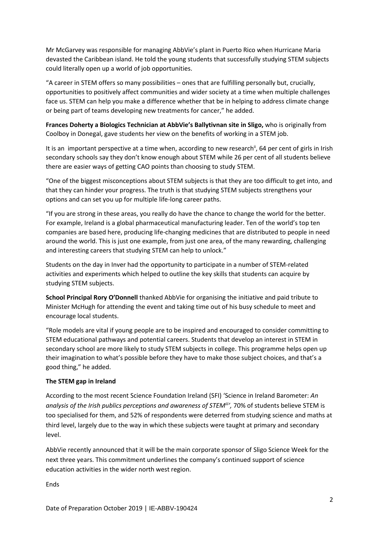Mr McGarvey was responsible for managing AbbVie's plant in Puerto Rico when Hurricane Maria devasted the Caribbean island. He told the young students that successfully studying STEM subjects could literally open up a world of job opportunities.

"A career in STEM offers so many possibilities – ones that are fulfilling personally but, crucially, opportunities to positively affect communities and wider society at a time when multiple challenges face us. STEM can help you make a difference whether that be in helping to address climate change or being part of teams developing new treatments for cancer," he added.

**Frances Doherty a Biologics Technician at AbbVie's Ballytivnan site in Sligo,** who is originally from Coolboy in Donegal, gave students her view on the benefits of working in a STEM job.

It is an important perspective at a time when, according to new research<sup>ii</sup>, 64 per cent of girls in Irish secondary schools say they don't know enough about STEM while 26 per cent of all students believe there are easier ways of getting CAO points than choosing to study STEM.

"One of the biggest misconceptions about STEM subjects is that they are too difficult to get into, and that they can hinder your progress. The truth is that studying STEM subjects strengthens your options and can set you up for multiple life-long career paths.

"If you are strong in these areas, you really do have the chance to change the world for the better. For example, Ireland is a global pharmaceutical manufacturing leader. Ten of the world's top ten companies are based here, producing life-changing medicines that are distributed to people in need around the world. This is just one example, from just one area, of the many rewarding, challenging and interesting careers that studying STEM can help to unlock."

Students on the day in Inver had the opportunity to participate in a number of STEM-related activities and experiments which helped to outline the key skills that students can acquire by studying STEM subjects.

**School Principal Rory O'Donnell** thanked AbbVie for organising the initiative and paid tribute to Minister McHugh for attending the event and taking time out of his busy schedule to meet and encourage local students.

"Role models are vital if young people are to be inspired and encouraged to consider committing to STEM educational pathways and potential careers. Students that develop an interest in STEM in secondary school are more likely to study STEM subjects in college. This programme helps open up their imagination to what's possible before they have to make those subject choices, and that's a good thing," he added.

## **The STEM gap in Ireland**

According to the most recent Science Foundation Ireland (SFI) 'Science in Ireland Barometer: *An analysis of the Irish publics perceptions and awareness of STEMiii ',* 70% of students believe STEM is too specialised for them, and 52% of respondents were deterred from studying science and maths at third level, largely due to the way in which these subjects were taught at primary and secondary level.

AbbVie recently announced that it will be the main corporate sponsor of Sligo Science Week for the next three years. This commitment underlines the company's continued support of science education activities in the wider north west region.

Ends